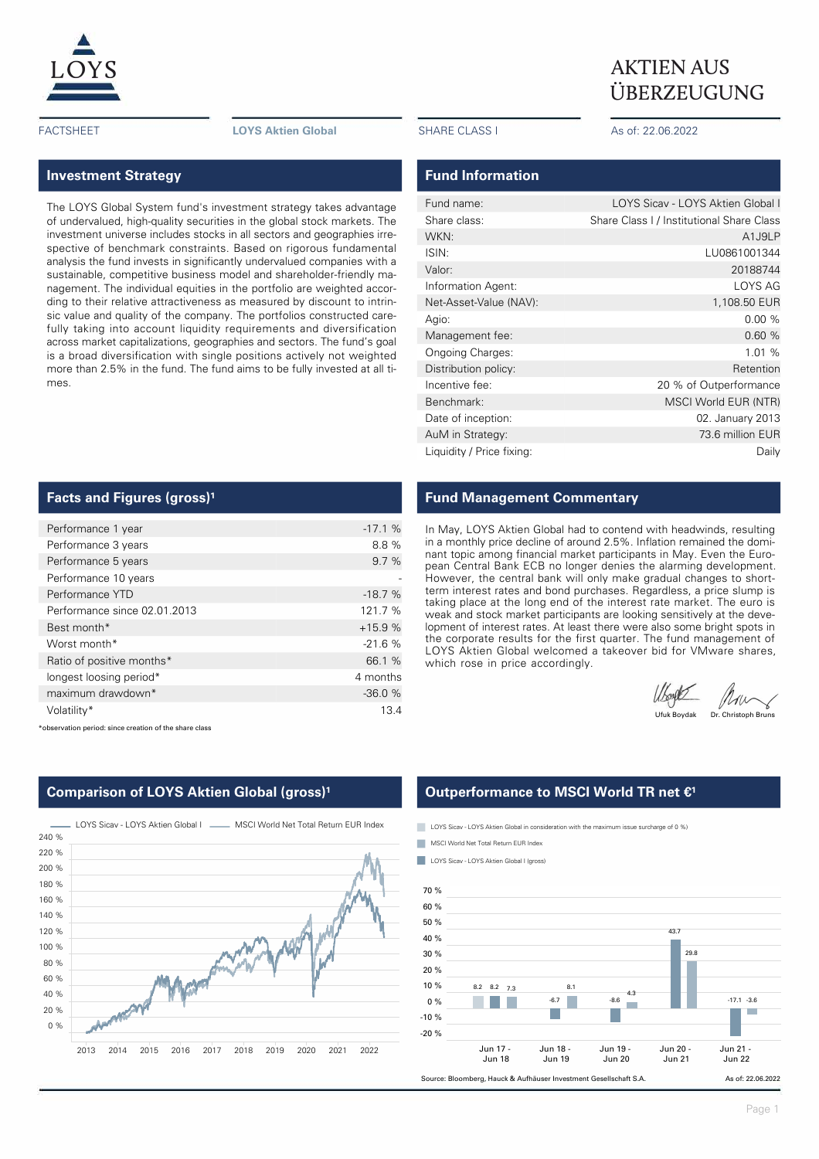

FACTSHEET **LOYS Aktien Global** SHARE CLASS I As of: 22.06.2022

## **Investment Strategy**

The LOYS Global System fund's investment strategy takes advantage of undervalued, high-quality securities in the global stock markets. The investment universe includes stocks in all sectors and geographies irrespective of benchmark constraints. Based on rigorous fundamental analysis the fund invests in significantly undervalued companies with a sustainable, competitive business model and shareholder-friendly management. The individual equities in the portfolio are weighted according to their relative attractiveness as measured by discount to intrinsic value and quality of the company. The portfolios constructed carefully taking into account liquidity requirements and diversification across market capitalizations, geographies and sectors. The fund's goal is a broad diversification with single positions actively not weighted more than 2.5% in the fund. The fund aims to be fully invested at all times.

### **Facts and Figures (gross)<sup>1</sup>**

| Performance 1 year           | $-17.1%$ |
|------------------------------|----------|
| Performance 3 years          | 8.8%     |
| Performance 5 years          | 9.7%     |
| Performance 10 years         |          |
| Performance YTD              | $-18.7%$ |
| Performance since 02.01.2013 | 121.7 %  |
| Best month*                  | $+15.9%$ |
| Worst month*                 | $-21.6%$ |
| Ratio of positive months*    | 66.1 %   |
| longest loosing period*      | 4 months |
| maximum drawdown*            | $-36.0%$ |
| Volatility*                  | 13.4     |

\*observation period: since creation of the share class



**Comparison of LOYS Aktien Global (gross)<sup>1</sup>** 

# $\underline{LOYS}$  AKTIEN AUS ÜBERZEUGUNG

### **Fund Information**

| Fund name:                | LOYS Sicav - LOYS Aktien Global I         |
|---------------------------|-------------------------------------------|
| Share class:              | Share Class I / Institutional Share Class |
| WKN:                      | A1J9LP                                    |
| ISIN:                     | LU0861001344                              |
| Valor:                    | 20188744                                  |
| Information Agent:        | LOYS AG                                   |
| Net-Asset-Value (NAV):    | 1,108.50 EUR                              |
| Agio:                     | 0.00%                                     |
| Management fee:           | 0.60%                                     |
| <b>Ongoing Charges:</b>   | 1.01 %                                    |
| Distribution policy:      | Retention                                 |
| Incentive fee:            | 20 % of Outperformance                    |
| Benchmark:                | MSCI World EUR (NTR)                      |
| Date of inception:        | 02. January 2013                          |
| AuM in Strategy:          | 73.6 million EUR                          |
| Liquidity / Price fixing: | Daily                                     |
|                           |                                           |

## **Fund Management Commentary**

In May, LOYS Aktien Global had to contend with headwinds, resulting in a monthly price decline of around 2.5%. Inflation remained the dominant topic among financial market participants in May. Even the European Central Bank ECB no longer denies the alarming development. However, the central bank will only make gradual changes to shortterm interest rates and bond purchases. Regardless, a price slump is taking place at the long end of the interest rate market. The euro is weak and stock market participants are looking sensitively at the development of interest rates. At least there were also some bright spots in the corporate results for the first quarter. The fund management of LOYS Aktien Global welcomed a takeover bid for VMware shares, which rose in price accordingly.

Utoyes Mun

## **Outperformance to MSCI World TR net €<sup>1</sup>**

LOYS Sicav - LOYS Aktien Global in consideration with the maximum issue surcharge of 0 %)

- MSCI World Net Total Return EUR Index
- **LOYS Sicav LOYS Aktien Global I (gross)**

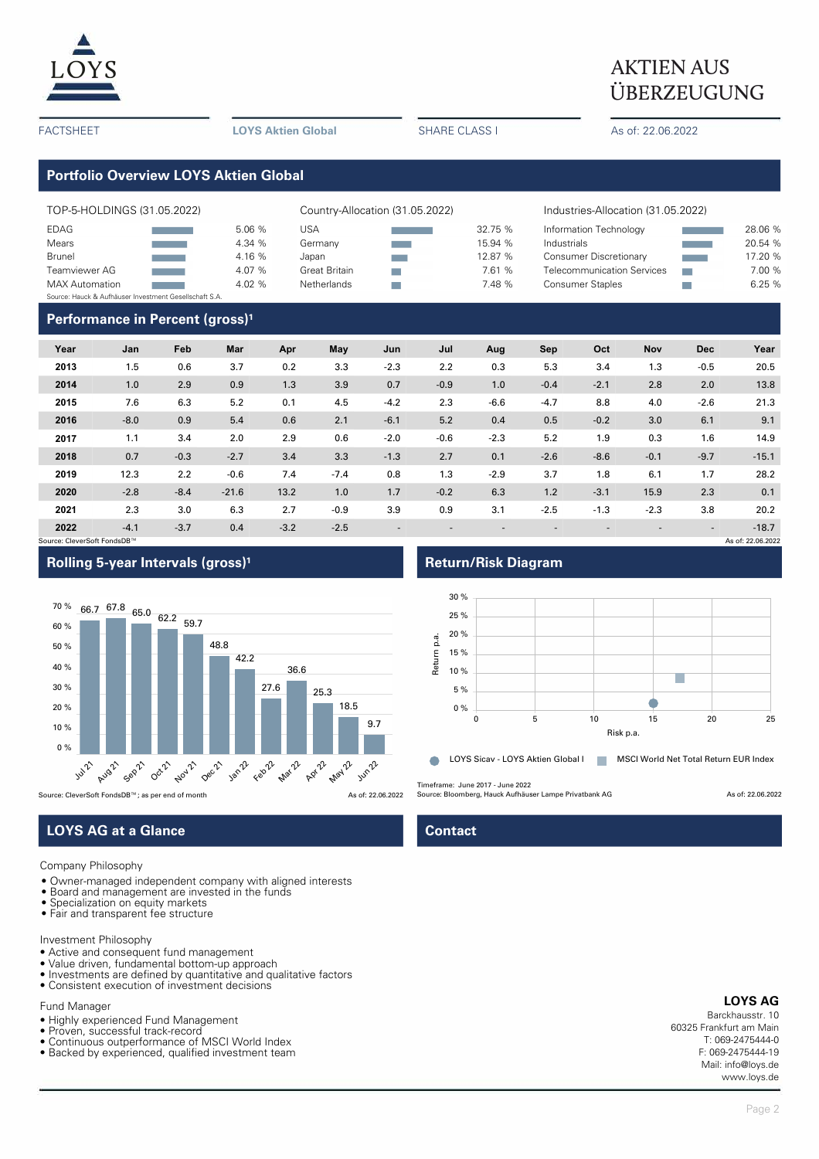

# $\underline{LOYS}$  AKTIEN AUS ÜBERZEUGUNG

FACTSHEET **LOYS Aktien Global** SHARE CLASS I As of: 22.06.2022

# **Portfolio Overview LOYS Aktien Global**

| TOP-5-HOLDINGS (31.05.2022)                            |                            |        | Country-Allocation (31.05.2022) |  |         | Industries-Allocation (31.05.2022) |  |         |  |
|--------------------------------------------------------|----------------------------|--------|---------------------------------|--|---------|------------------------------------|--|---------|--|
| EDAG                                                   |                            | 5.06 % | USA                             |  | 32.75 % | Information Technology             |  | 28.06 % |  |
| Mears                                                  |                            | 4.34 % | Germany                         |  | 15.94 % | Industrials                        |  | 20.54 % |  |
| <b>Brunel</b>                                          |                            | 4.16 % | Japan                           |  | 12.87 % | <b>Consumer Discretionary</b>      |  | 17.20 % |  |
| Teamviewer AG                                          | an an Salaman.<br>Tagairtí | 4.07 % | <b>Great Britain</b>            |  | 7.61 %  | <b>Telecommunication Services</b>  |  | 7.00 %  |  |
| <b>MAX</b> Automation                                  |                            | 4.02%  | Netherlands                     |  | 7.48 %  | <b>Consumer Staples</b>            |  | 6.25 %  |  |
| Source: Hauck & Aufhäuser Investment Gesellschaft S.A. |                            |        |                                 |  |         |                                    |  |         |  |
|                                                        |                            | .      |                                 |  |         |                                    |  |         |  |

### **Performance in Percent (gross)<sup>1</sup>**

| Year                        | Jan    | Feb    | Mar     | Apr    | May    | Jun    | Jul    | Aug    | Sep    | Oct    | <b>Nov</b>               | <b>Dec</b>               | Year              |
|-----------------------------|--------|--------|---------|--------|--------|--------|--------|--------|--------|--------|--------------------------|--------------------------|-------------------|
| 2013                        | 1.5    | 0.6    | 3.7     | 0.2    | 3.3    | $-2.3$ | 2.2    | 0.3    | 5.3    | 3.4    | 1.3                      | $-0.5$                   | 20.5              |
| 2014                        | 1.0    | 2.9    | 0.9     | 1.3    | 3.9    | 0.7    | $-0.9$ | 1.0    | $-0.4$ | $-2.1$ | 2.8                      | 2.0                      | 13.8              |
| 2015                        | 7.6    | 6.3    | 5.2     | 0.1    | 4.5    | $-4.2$ | 2.3    | $-6.6$ | $-4.7$ | 8.8    | 4.0                      | $-2.6$                   | 21.3              |
| 2016                        | $-8.0$ | 0.9    | 5.4     | 0.6    | 2.1    | $-6.1$ | 5.2    | 0.4    | 0.5    | $-0.2$ | 3.0                      | 6.1                      | 9.1               |
| 2017                        | 1.1    | 3.4    | 2.0     | 2.9    | 0.6    | $-2.0$ | $-0.6$ | $-2.3$ | 5.2    | 1.9    | 0.3                      | 1.6                      | 14.9              |
| 2018                        | 0.7    | $-0.3$ | $-2.7$  | 3.4    | 3.3    | $-1.3$ | 2.7    | 0.1    | $-2.6$ | $-8.6$ | $-0.1$                   | $-9.7$                   | $-15.1$           |
| 2019                        | 12.3   | 2.2    | $-0.6$  | 7.4    | $-7.4$ | 0.8    | 1.3    | $-2.9$ | 3.7    | 1.8    | 6.1                      | 1.7                      | 28.2              |
| 2020                        | $-2.8$ | $-8.4$ | $-21.6$ | 13.2   | 1.0    | 1.7    | $-0.2$ | 6.3    | 1.2    | $-3.1$ | 15.9                     | 2.3                      | 0.1               |
| 2021                        | 2.3    | 3.0    | 6.3     | 2.7    | $-0.9$ | 3.9    | 0.9    | 3.1    | $-2.5$ | $-1.3$ | $-2.3$                   | 3.8                      | 20.2              |
| 2022                        | $-4.1$ | $-3.7$ | 0.4     | $-3.2$ | $-2.5$ | ٠      | ۰      |        |        |        | $\overline{\phantom{a}}$ | $\overline{\phantom{a}}$ | $-18.7$           |
| Source: CleverSoft FondsDB™ |        |        |         |        |        |        |        |        |        |        |                          |                          | As of: 22.06.2022 |

## **Rolling 5-year Intervals (gross)<sup>1</sup> <b>Return/Risk Diagram**



Source: CleverSoft FondsDB™; as per end of month As of: 22.06.2022

# **LOYS AG at a Glance Contact Contact**

Company Philosophy

- Owner-managed independent company with aligned interests
- Board and management are invested in the funds
- Specialization on equity markets • Fair and transparent fee structure

Investment Philosophy

- Active and consequent fund management
- Value driven, fundamental bottom-up approach
- Investments are defined by quantitative and qualitative factors Consistent execution of investment decisions
- Fund Manager
- Highly experienced Fund Management
- Proven, successful track-record
- Continuous outperformance of MSCI World Index
- Backed by experienced, qualified investment team



Timeframe: June 2017 - June 2022

Source: Bloomberg, Hauck Aufhäuser Lampe Privatbank AG As of: 22.06.2022

#### **LOYS AG**

Barckhausstr. 10 60325 Frankfurt am Main T: 069-2475444-0 F: 069-2475444-19 Mail: info@loys.de www.loys.de